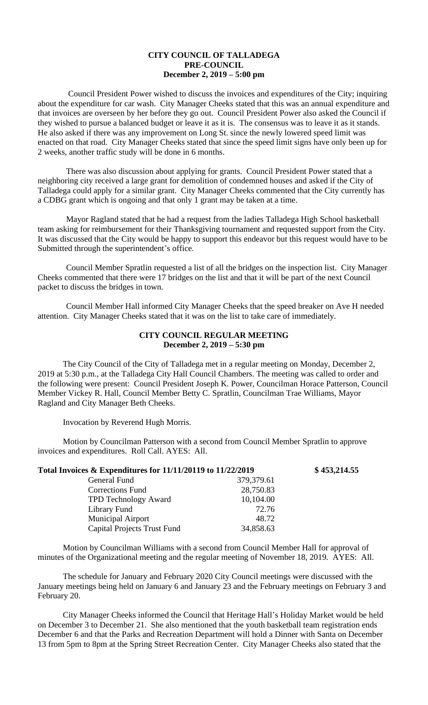## **CITY COUNCIL OF TALLADEGA PRE-COUNCIL December 2, 2019 – 5:00 pm**

Council President Power wished to discuss the invoices and expenditures of the City; inquiring about the expenditure for car wash. City Manager Cheeks stated that this was an annual expenditure and that invoices are overseen by her before they go out. Council President Power also asked the Council if they wished to pursue a balanced budget or leave it as it is. The consensus was to leave it as it stands. He also asked if there was any improvement on Long St. since the newly lowered speed limit was enacted on that road. City Manager Cheeks stated that since the speed limit signs have only been up for 2 weeks, another traffic study will be done in 6 months.

There was also discussion about applying for grants. Council President Power stated that a neighboring city received a large grant for demolition of condemned houses and asked if the City of Talladega could apply for a similar grant. City Manager Cheeks commented that the City currently has a CDBG grant which is ongoing and that only 1 grant may be taken at a time.

Mayor Ragland stated that he had a request from the ladies Talladega High School basketball team asking for reimbursement for their Thanksgiving tournament and requested support from the City. It was discussed that the City would be happy to support this endeavor but this request would have to be Submitted through the superintendent's office.

Council Member Spratlin requested a list of all the bridges on the inspection list. City Manager Cheeks commented that there were 17 bridges on the list and that it will be part of the next Council packet to discuss the bridges in town.

Council Member Hall informed City Manager Cheeks that the speed breaker on Ave H needed attention. City Manager Cheeks stated that it was on the list to take care of immediately.

## **CITY COUNCIL REGULAR MEETING December 2, 2019 – 5:30 pm**

The City Council of the City of Talladega met in a regular meeting on Monday, December 2, 2019 at 5:30 p.m., at the Talladega City Hall Council Chambers. The meeting was called to order and the following were present: Council President Joseph K. Power, Councilman Horace Patterson, Council Member Vickey R. Hall, Council Member Betty C. Spratlin, Councilman Trae Williams, Mayor Ragland and City Manager Beth Cheeks.

Invocation by Reverend Hugh Morris.

Motion by Councilman Patterson with a second from Council Member Spratlin to approve invoices and expenditures. Roll Call. AYES: All.

| Total Invoices & Expenditures for 11/11/20119 to 11/22/2019 |              | \$453,214.55 |
|-------------------------------------------------------------|--------------|--------------|
| General Fund                                                | 379, 379. 61 |              |
| Corrections Fund                                            | 28,750.83    |              |
| <b>TPD Technology Award</b>                                 | 10,104.00    |              |
| Library Fund                                                | 72.76        |              |
| <b>Municipal Airport</b>                                    | 48.72        |              |
| <b>Capital Projects Trust Fund</b>                          | 34,858.63    |              |

Motion by Councilman Williams with a second from Council Member Hall for approval of minutes of the Organizational meeting and the regular meeting of November 18, 2019. AYES: All.

The schedule for January and February 2020 City Council meetings were discussed with the January meetings being held on January 6 and January 23 and the February meetings on February 3 and February 20.

City Manager Cheeks informed the Council that Heritage Hall's Holiday Market would be held on December 3 to December 21. She also mentioned that the youth basketball team registration ends December 6 and that the Parks and Recreation Department will hold a Dinner with Santa on December 13 from 5pm to 8pm at the Spring Street Recreation Center. City Manager Cheeks also stated that the